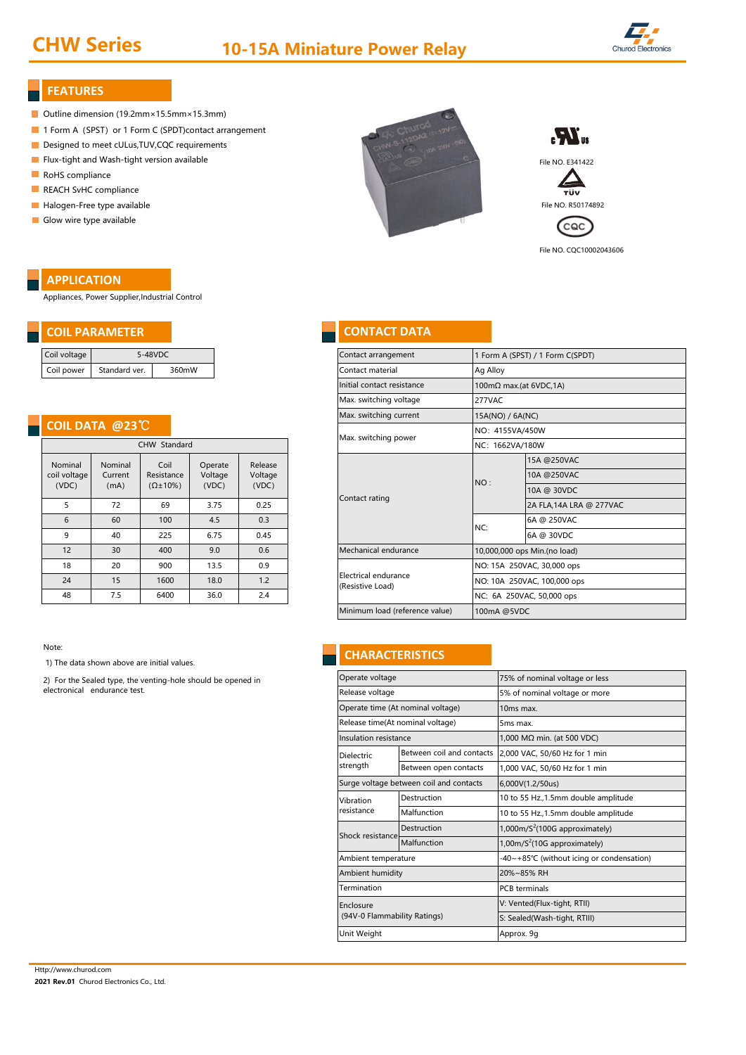# CHW Series 10-15A Miniature Power Relay



#### **FEATURES**

- Outline dimension (19.2mm×15.5mm×15.3mm)
- 1 Form A (SPST) or 1 Form C (SPDT)contact arrangement
- Designed to meet cULus, TUV, CQC requirements
- **Flux-tight and Wash-tight version available** File NO. E341422
- RoHS compliance
- REACH SvHC compliance
- **Halogen-Free type available** File No. R50174892
- Glow wire type available

### **APPLICATION**

Appliances, Power Supplier,Industrial Control

#### **COIL PARAMETER CONTACT DATA**

| Coil voltage | 5-48VDC       |       |  |  |
|--------------|---------------|-------|--|--|
| Coil power   | Standard ver. | 360mW |  |  |

### **COIL DATA @23**℃

|                                  |                            | CHW Standard                              | <b>IVIGA.</b> SWILLINING POWER |                             |                                          |
|----------------------------------|----------------------------|-------------------------------------------|--------------------------------|-----------------------------|------------------------------------------|
| Nominal<br>coil voltage<br>(VDC) | Nominal<br>Current<br>(mA) | Coil<br>Resistance<br>$(\Omega \pm 10\%)$ | Operate<br>Voltage<br>(VDC)    | Release<br>Voltage<br>(VDC) |                                          |
| 5                                | 72                         | 69                                        | 3.75                           | 0.25                        | Contact rating                           |
| 6                                | 60                         | 100                                       | 4.5                            | 0.3                         |                                          |
| 9                                | 40                         | 225                                       | 6.75                           | 0.45                        |                                          |
| 12                               | 30                         | 400                                       | 9.0                            | 0.6                         | Mechanical endurance                     |
| 18                               | 20                         | 900                                       | 13.5                           | 0.9                         |                                          |
| 24                               | 15                         | 1600                                      | 18.0                           | 1.2                         | Electrical endurance<br>(Resistive Load) |
| 48                               | 7.5                        | 6400                                      | 36.0                           | 2.4                         |                                          |

Note:

1) The data shown above are initial values.

2) For the Sealed type, the venting-hole should be opened in electronical endurance test.



Cac<sup></sup>

File NO. CQC10002043606

| oltage        | 5-48VDC                                          |                                   |                    |                  | Contact arrangement                      |          | 1 Form A (SPST) / 1 Form C(SPDT)  |  |  |
|---------------|--------------------------------------------------|-----------------------------------|--------------------|------------------|------------------------------------------|----------|-----------------------------------|--|--|
| ower          | Standard ver.                                    | 360mW                             |                    |                  | Contact material                         | Ag Alloy |                                   |  |  |
|               |                                                  |                                   |                    |                  | Initial contact resistance               |          | $100 \text{mA}$ max.(at 6VDC, 1A) |  |  |
|               |                                                  |                                   |                    |                  | Max. switching voltage                   | 277VAC   |                                   |  |  |
|               |                                                  |                                   |                    |                  | Max. switching current                   |          | 15A(NO) / 6A(NC)                  |  |  |
|               | <b>IL DATA @23 <math>^{\circ}\text{C}</math></b> |                                   |                    |                  | Max. switching power                     |          | NO: 4155VA/450W                   |  |  |
| CHW Standard  |                                                  |                                   |                    |                  |                                          |          | NC: 1662VA/180W                   |  |  |
| ninal         | Nominal                                          | Coil                              | Release<br>Operate |                  |                                          |          | 15A @250VAC                       |  |  |
| oltage<br>DC) | Current<br>(mA)                                  | Resistance<br>$(\Omega \pm 10\%)$ | Voltage<br>(VDC)   | Voltage<br>(VDC) |                                          | NO:      | 10A @250VAC                       |  |  |
|               |                                                  |                                   |                    |                  |                                          |          | 10A @ 30VDC                       |  |  |
| 5             | 72                                               | 69                                | 3.75               | 0.25             | Contact rating                           |          | 2A FLA, 14A LRA @ 277VAC          |  |  |
| 6             | 60                                               | 100                               | 4.5                | 0.3              |                                          | NC:      | 6A @ 250VAC                       |  |  |
| 9             | 40                                               | 225                               | 6.75               | 0.45             |                                          |          | 6A @ 30VDC                        |  |  |
| 12            | 30                                               | 400                               | 9.0                | 0.6              | Mechanical endurance                     |          | 10,000,000 ops Min.(no load)      |  |  |
| 18            | 20                                               | 900                               | 13.5               | 0.9              |                                          |          | NO: 15A 250VAC, 30,000 ops        |  |  |
| 24            | 15                                               | 1600                              | 18.0               | 1.2              | Electrical endurance<br>(Resistive Load) |          | NO: 10A 250VAC, 100,000 ops       |  |  |
| 18            | 7.5                                              | 6400                              | 36.0               | 2.4              |                                          |          | NC: 6A 250VAC, 50,000 ops         |  |  |
|               |                                                  |                                   |                    |                  | Minimum load (reference value)           |          | 100mA @5VDC                       |  |  |
|               |                                                  |                                   |                    |                  |                                          |          |                                   |  |  |

### **CHARACTERISTICS**

| Operate voltage                  |                                         | 75% of nominal voltage or less                |  |  |  |  |
|----------------------------------|-----------------------------------------|-----------------------------------------------|--|--|--|--|
| Release voltage                  |                                         | 5% of nominal voltage or more                 |  |  |  |  |
|                                  | Operate time (At nominal voltage)       | 10 <sub>ms</sub> max.                         |  |  |  |  |
| Release time(At nominal voltage) |                                         | 5 <sub>ms</sub> max.                          |  |  |  |  |
| Insulation resistance            |                                         | 1,000 MΩ min. (at 500 VDC)                    |  |  |  |  |
| <b>Dielectric</b>                | Between coil and contacts               | 2,000 VAC, 50/60 Hz for 1 min                 |  |  |  |  |
| strength                         | Between open contacts                   | 1,000 VAC, 50/60 Hz for 1 min                 |  |  |  |  |
|                                  | Surge voltage between coil and contacts | 6,000V(1.2/50us)                              |  |  |  |  |
| Vibration                        | Destruction                             | 10 to 55 Hz., 1.5mm double amplitude          |  |  |  |  |
| resistance                       | Malfunction                             | 10 to 55 Hz., 1.5mm double amplitude          |  |  |  |  |
| Shock resistance                 | Destruction                             | $1,000$ m/S <sup>2</sup> (100G approximately) |  |  |  |  |
|                                  | Malfunction                             | 1,00m/ $S^2$ (10G approximately)              |  |  |  |  |
| Ambient temperature              |                                         | -40~+85°C (without icing or condensation)     |  |  |  |  |
| Ambient humidity                 |                                         | 20%~85% RH                                    |  |  |  |  |
| Termination                      |                                         | <b>PCB</b> terminals                          |  |  |  |  |
| Enclosure                        |                                         | V: Vented(Flux-tight, RTII)                   |  |  |  |  |
| (94V-0 Flammability Ratings)     |                                         | S: Sealed(Wash-tight, RTIII)                  |  |  |  |  |
| Unit Weight                      |                                         | Approx. 9g                                    |  |  |  |  |